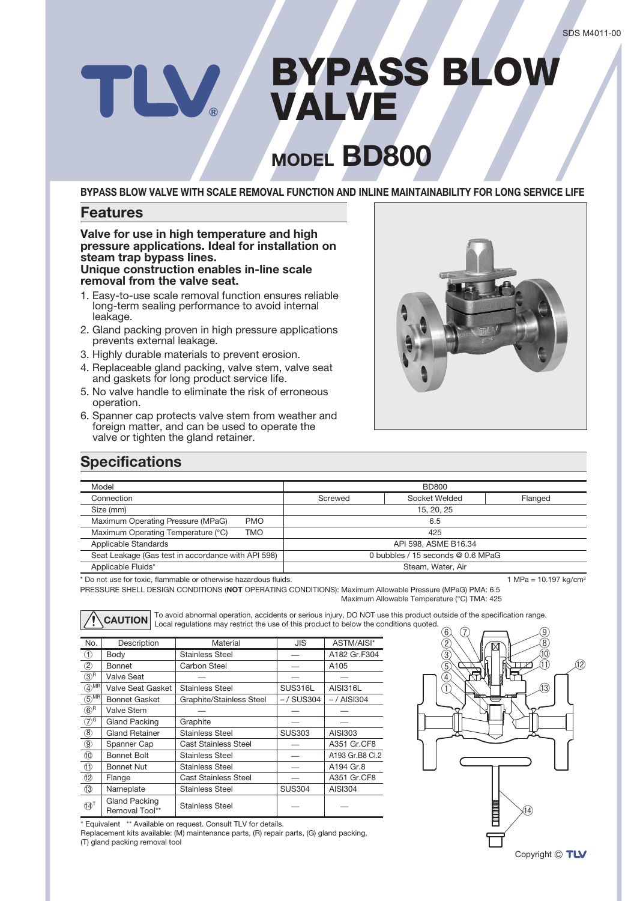# BYPASS BLOW **W** VALVE

## **MODEL BD800**

**BYPASS BLOW VALVE WITH SCALE REMOVAL FUNCTION AND INLINE MAINTAINABILITY FOR LONG SERVICE LIFE**

#### **Features**

#### **Valve for use in high temperature and high pressure applications. Ideal for installation on steam trap bypass lines. Unique construction enables in-line scale removal from the valve seat.**

- 1. Easy-to-use scale removal function ensures reliable long-term sealing performance to avoid internal leakage.
- 2. Gland packing proven in high pressure applications prevents external leakage.
- 3. Highly durable materials to prevent erosion.
- 4. Replaceable gland packing, valve stem, valve seat and gaskets for long product service life.
- 5. No valve handle to eliminate the risk of erroneous operation.
- 6. Spanner cap protects valve stem from weather and foreign matter, and can be used to operate the valve or tighten the gland retainer.



#### **Specifications**

| Model                                                            |            | <b>BD800</b>                      |                          |                                     |  |
|------------------------------------------------------------------|------------|-----------------------------------|--------------------------|-------------------------------------|--|
| Connection                                                       |            | Screwed                           | Socket Welded<br>Flanged |                                     |  |
| Size (mm)                                                        |            | 15, 20, 25                        |                          |                                     |  |
| Maximum Operating Pressure (MPaG)                                | <b>PMO</b> | 6.5                               |                          |                                     |  |
| Maximum Operating Temperature (°C)                               | TMO.       | 425                               |                          |                                     |  |
| Applicable Standards                                             |            | API 598, ASME B16.34              |                          |                                     |  |
| Seat Leakage (Gas test in accordance with API 598)               |            | 0 bubbles / 15 seconds @ 0.6 MPaG |                          |                                     |  |
| Applicable Fluids*                                               |            | Steam, Water, Air                 |                          |                                     |  |
| * Do not use for toxic, flammable or otherwise hazardous fluids. |            |                                   |                          | 1 MPa = $10.197$ kg/cm <sup>2</sup> |  |

\* Do not use for toxic, flammable or otherwise hazardous fluids.

PRESSURE SHELL DESIGN CONDITIONS (**NOT** OPERATING CONDITIONS): Maximum Allowable Pressure (MPaG) PMA: 6.5 Maximum Allowable Temperature (°C) TMA: 425

| No.                 | Description                            | Material                 | <b>JIS</b>    | ASTM/AISI*      |
|---------------------|----------------------------------------|--------------------------|---------------|-----------------|
| (1)                 | Body                                   | <b>Stainless Steel</b>   |               | A182 Gr.F304    |
| $2$                 | Bonnet                                 | Carbon Steel             |               | A105            |
| $(3)^R$             | Valve Seat                             |                          |               |                 |
| $(4)$ MR            | Valve Seat Gasket                      | <b>Stainless Steel</b>   | SUS316L       | <b>AISI316L</b> |
| $(5)$ <sup>MR</sup> | <b>Bonnet Gasket</b>                   | Graphite/Stainless Steel | $-$ / SUS304  | $-$ / AISI304   |
| $(6)^R$             | Valve Stem                             |                          |               |                 |
| $(7)^{G}$           | <b>Gland Packing</b>                   | Graphite                 |               |                 |
| $\circledR$         | <b>Gland Retainer</b>                  | <b>Stainless Steel</b>   | <b>SUS303</b> | AISI303         |
| $^\circledR$        | Spanner Cap                            | Cast Stainless Steel     |               | A351 Gr.CF8     |
| $\circled{0}$       | <b>Bonnet Bolt</b>                     | <b>Stainless Steel</b>   |               | A193 Gr.B8 Cl.2 |
| $\circledD$         | <b>Bonnet Nut</b>                      | <b>Stainless Steel</b>   |               | A194 Gr.8       |
| 12                  | Flange                                 | Cast Stainless Steel     |               | A351 Gr.CF8     |
| $\circled{3}$       | Nameplate                              | <b>Stainless Steel</b>   | <b>SUS304</b> | <b>AISI304</b>  |
| $(14)^T$            | <b>Gland Packing</b><br>Removal Tool** | <b>Stainless Steel</b>   |               |                 |

To avoid abnormal operation, accidents or serious injury, DO NOT use this product outside of the specification range.<br>CAUTION Local regulations may restrict the use of this product to below the conditions quoted.

\* Equivalent \*\* Available on request. Consult TLV for details.

Replacement kits available: (M) maintenance parts, (R) repair parts, (G) gland packing, (T) gland packing removal tool